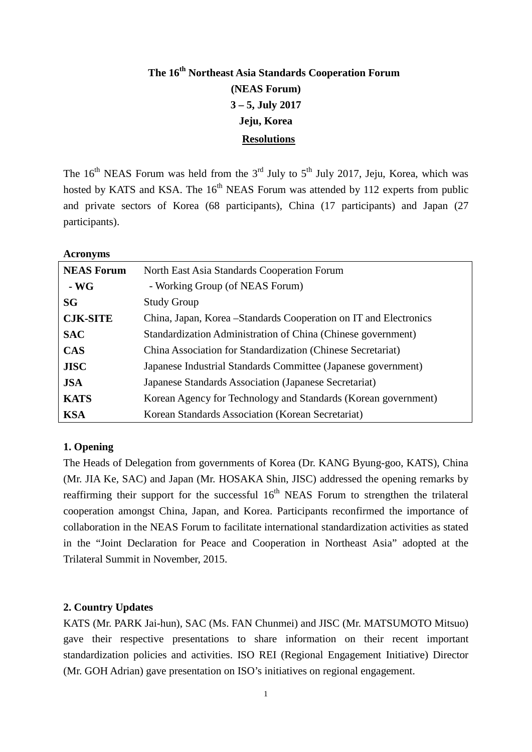# **The 16th Northeast Asia Standards Cooperation Forum (NEAS Forum) 3 – 5, July 2017 Jeju, Korea Resolutions**

The  $16<sup>th</sup>$  NEAS Forum was held from the 3<sup>rd</sup> July to  $5<sup>th</sup>$  July 2017, Jeju, Korea, which was hosted by KATS and KSA. The  $16<sup>th</sup>$  NEAS Forum was attended by 112 experts from public and private sectors of Korea (68 participants), China (17 participants) and Japan (27 participants).

**Acronyms** 

| <b>NEAS Forum</b> | North East Asia Standards Cooperation Forum                       |  |  |  |  |
|-------------------|-------------------------------------------------------------------|--|--|--|--|
| $\sim$ WG         | - Working Group (of NEAS Forum)                                   |  |  |  |  |
| SG                | <b>Study Group</b>                                                |  |  |  |  |
| <b>CJK-SITE</b>   | China, Japan, Korea – Standards Cooperation on IT and Electronics |  |  |  |  |
| <b>SAC</b>        | Standardization Administration of China (Chinese government)      |  |  |  |  |
| <b>CAS</b>        | China Association for Standardization (Chinese Secretariat)       |  |  |  |  |
| <b>JISC</b>       | Japanese Industrial Standards Committee (Japanese government)     |  |  |  |  |
| <b>JSA</b>        | Japanese Standards Association (Japanese Secretariat)             |  |  |  |  |
| <b>KATS</b>       | Korean Agency for Technology and Standards (Korean government)    |  |  |  |  |
| <b>KSA</b>        | Korean Standards Association (Korean Secretariat)                 |  |  |  |  |

#### **1. Opening**

The Heads of Delegation from governments of Korea (Dr. KANG Byung-goo, KATS), China (Mr. JIA Ke, SAC) and Japan (Mr. HOSAKA Shin, JISC) addressed the opening remarks by reaffirming their support for the successful  $16<sup>th</sup>$  NEAS Forum to strengthen the trilateral cooperation amongst China, Japan, and Korea. Participants reconfirmed the importance of collaboration in the NEAS Forum to facilitate international standardization activities as stated in the "Joint Declaration for Peace and Cooperation in Northeast Asia" adopted at the Trilateral Summit in November, 2015.

#### **2. Country Updates**

KATS (Mr. PARK Jai-hun), SAC (Ms. FAN Chunmei) and JISC (Mr. MATSUMOTO Mitsuo) gave their respective presentations to share information on their recent important standardization policies and activities. ISO REI (Regional Engagement Initiative) Director (Mr. GOH Adrian) gave presentation on ISO's initiatives on regional engagement.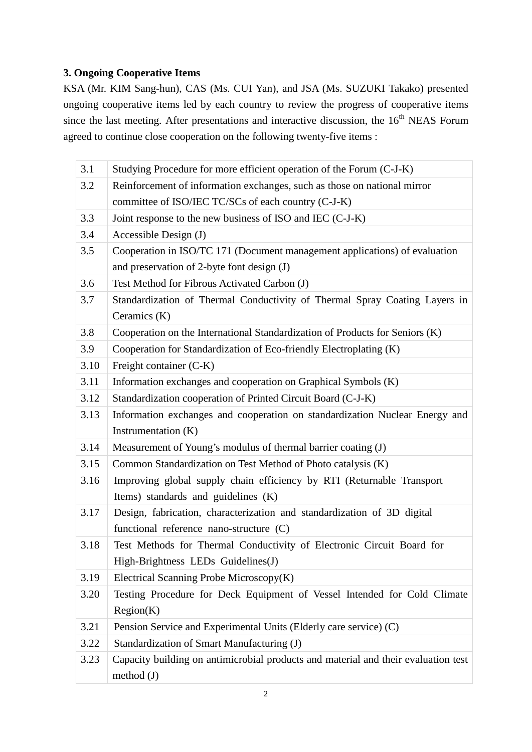### **3. Ongoing Cooperative Items**

KSA (Mr. KIM Sang-hun), CAS (Ms. CUI Yan), and JSA (Ms. SUZUKI Takako) presented ongoing cooperative items led by each country to review the progress of cooperative items since the last meeting. After presentations and interactive discussion, the  $16<sup>th</sup>$  NEAS Forum agreed to continue close cooperation on the following twenty-five items :

| 3.1  | Studying Procedure for more efficient operation of the Forum (C-J-K)               |
|------|------------------------------------------------------------------------------------|
| 3.2  | Reinforcement of information exchanges, such as those on national mirror           |
|      | committee of ISO/IEC TC/SCs of each country (C-J-K)                                |
| 3.3  | Joint response to the new business of ISO and IEC (C-J-K)                          |
| 3.4  | Accessible Design (J)                                                              |
| 3.5  | Cooperation in ISO/TC 171 (Document management applications) of evaluation         |
|      | and preservation of 2-byte font design (J)                                         |
| 3.6  | Test Method for Fibrous Activated Carbon (J)                                       |
| 3.7  | Standardization of Thermal Conductivity of Thermal Spray Coating Layers in         |
|      | Ceramics (K)                                                                       |
| 3.8  | Cooperation on the International Standardization of Products for Seniors (K)       |
| 3.9  | Cooperation for Standardization of Eco-friendly Electroplating (K)                 |
| 3.10 | Freight container (C-K)                                                            |
| 3.11 | Information exchanges and cooperation on Graphical Symbols (K)                     |
| 3.12 | Standardization cooperation of Printed Circuit Board (C-J-K)                       |
| 3.13 | Information exchanges and cooperation on standardization Nuclear Energy and        |
|      | Instrumentation (K)                                                                |
| 3.14 | Measurement of Young's modulus of thermal barrier coating (J)                      |
| 3.15 | Common Standardization on Test Method of Photo catalysis (K)                       |
| 3.16 | Improving global supply chain efficiency by RTI (Returnable Transport              |
|      | Items) standards and guidelines (K)                                                |
| 3.17 | Design, fabrication, characterization and standardization of 3D digital            |
|      | functional reference nano-structure (C)                                            |
| 3.18 | Test Methods for Thermal Conductivity of Electronic Circuit Board for              |
|      | High-Brightness LEDs Guidelines(J)                                                 |
| 3.19 | Electrical Scanning Probe Microscopy(K)                                            |
| 3.20 | Testing Procedure for Deck Equipment of Vessel Intended for Cold Climate           |
|      | Region(K)                                                                          |
| 3.21 | Pension Service and Experimental Units (Elderly care service) (C)                  |
| 3.22 | Standardization of Smart Manufacturing (J)                                         |
| 3.23 | Capacity building on antimicrobial products and material and their evaluation test |
|      | method $(J)$                                                                       |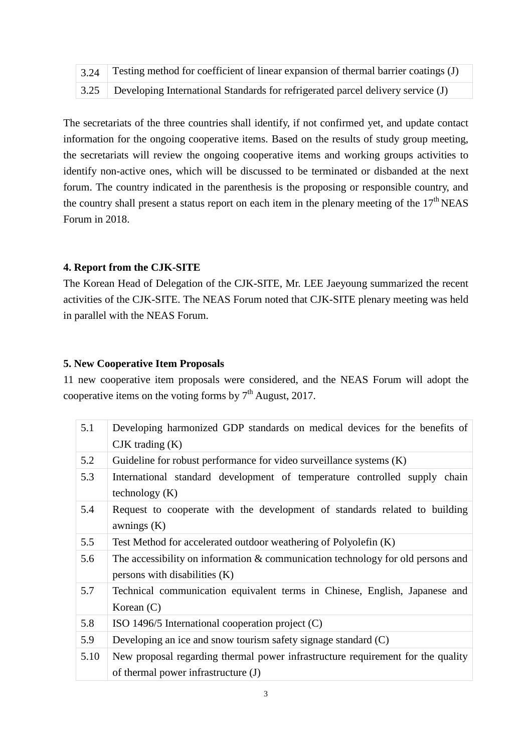| $\frac{1}{3.24}$ Testing method for coefficient of linear expansion of thermal barrier coatings (J) |
|-----------------------------------------------------------------------------------------------------|
| 3.25 Developing International Standards for refrigerated parcel delivery service (J)                |

The secretariats of the three countries shall identify, if not confirmed yet, and update contact information for the ongoing cooperative items. Based on the results of study group meeting, the secretariats will review the ongoing cooperative items and working groups activities to identify non-active ones, which will be discussed to be terminated or disbanded at the next forum. The country indicated in the parenthesis is the proposing or responsible country, and the country shall present a status report on each item in the plenary meeting of the  $17<sup>th</sup> NEAS$ Forum in 2018.

#### **4. Report from the CJK-SITE**

The Korean Head of Delegation of the CJK-SITE, Mr. LEE Jaeyoung summarized the recent activities of the CJK-SITE. The NEAS Forum noted that CJK-SITE plenary meeting was held in parallel with the NEAS Forum.

#### **5. New Cooperative Item Proposals**

11 new cooperative item proposals were considered, and the NEAS Forum will adopt the cooperative items on the voting forms by  $7<sup>th</sup>$  August, 2017.

| 5.1  | Developing harmonized GDP standards on medical devices for the benefits of<br>$CJK$ trading $(K)$                      |
|------|------------------------------------------------------------------------------------------------------------------------|
| 5.2  | Guideline for robust performance for video surveillance systems $(K)$                                                  |
| 5.3  | International standard development of temperature controlled supply chain<br>technology $(K)$                          |
| 5.4  | Request to cooperate with the development of standards related to building<br>awnings $(K)$                            |
| 5.5  | Test Method for accelerated outdoor weathering of Polyolefin (K)                                                       |
| 5.6  | The accessibility on information & communication technology for old persons and<br>persons with disabilities $(K)$     |
| 5.7  | Technical communication equivalent terms in Chinese, English, Japanese and<br>Korean $(C)$                             |
| 5.8  | ISO 1496/5 International cooperation project $(C)$                                                                     |
| 5.9  | Developing an ice and snow tourism safety signage standard (C)                                                         |
| 5.10 | New proposal regarding thermal power infrastructure requirement for the quality<br>of thermal power infrastructure (J) |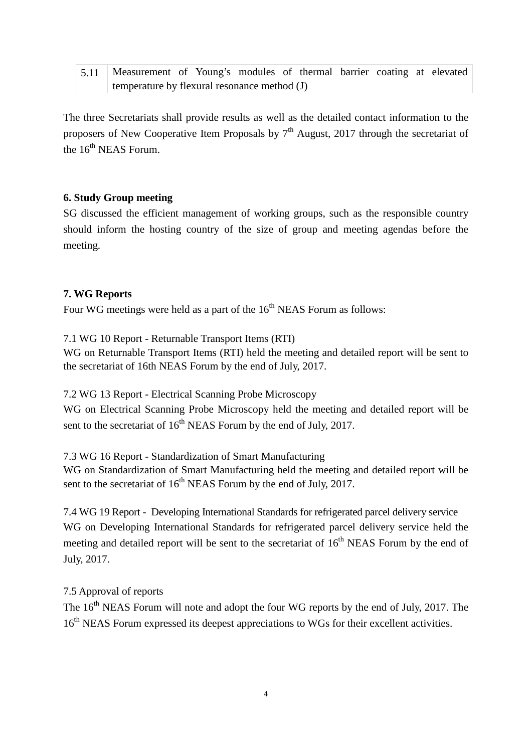| 5.11   Measurement of Young's modules of thermal barrier coating at elevated |  |  |  |  |  |  |  |  |  |
|------------------------------------------------------------------------------|--|--|--|--|--|--|--|--|--|
| temperature by flexural resonance method (J)                                 |  |  |  |  |  |  |  |  |  |

The three Secretariats shall provide results as well as the detailed contact information to the proposers of New Cooperative Item Proposals by  $7<sup>th</sup>$  August, 2017 through the secretariat of the  $16^{th}$  NEAS Forum.

#### **6. Study Group meeting**

SG discussed the efficient management of working groups, such as the responsible country should inform the hosting country of the size of group and meeting agendas before the meeting.

#### **7. WG Reports**

Four WG meetings were held as a part of the  $16<sup>th</sup>$  NEAS Forum as follows:

7.1 WG 10 Report - Returnable Transport Items (RTI)

WG on Returnable Transport Items (RTI) held the meeting and detailed report will be sent to the secretariat of 16th NEAS Forum by the end of July, 2017.

7.2 WG 13 Report - Electrical Scanning Probe Microscopy

WG on Electrical Scanning Probe Microscopy held the meeting and detailed report will be sent to the secretariat of  $16<sup>th</sup>$  NEAS Forum by the end of July, 2017.

7.3 WG 16 Report - Standardization of Smart Manufacturing

WG on Standardization of Smart Manufacturing held the meeting and detailed report will be sent to the secretariat of  $16<sup>th</sup>$  NEAS Forum by the end of July, 2017.

7.4 WG 19 Report - Developing International Standards for refrigerated parcel delivery service WG on Developing International Standards for refrigerated parcel delivery service held the meeting and detailed report will be sent to the secretariat of  $16<sup>th</sup>$  NEAS Forum by the end of July, 2017.

#### 7.5 Approval of reports

The 16<sup>th</sup> NEAS Forum will note and adopt the four WG reports by the end of July, 2017. The 16<sup>th</sup> NEAS Forum expressed its deepest appreciations to WGs for their excellent activities.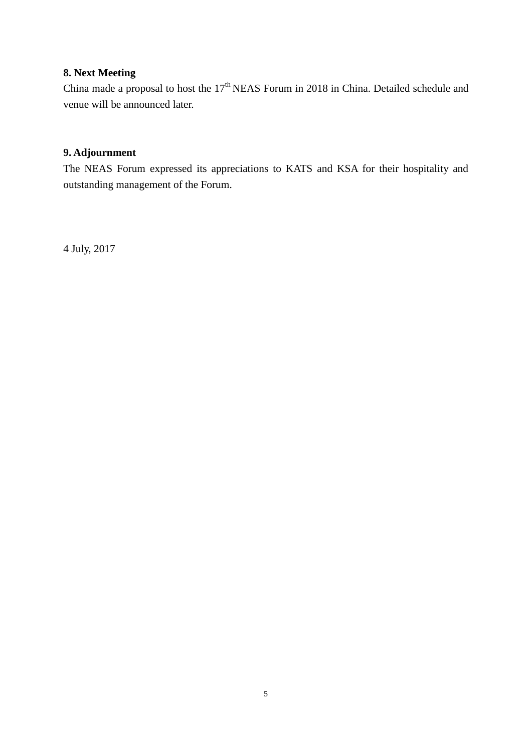## **8. Next Meeting**

China made a proposal to host the  $17<sup>th</sup> NEAS$  Forum in 2018 in China. Detailed schedule and venue will be announced later.

## **9. Adjournment**

The NEAS Forum expressed its appreciations to KATS and KSA for their hospitality and outstanding management of the Forum.

4 July, 2017